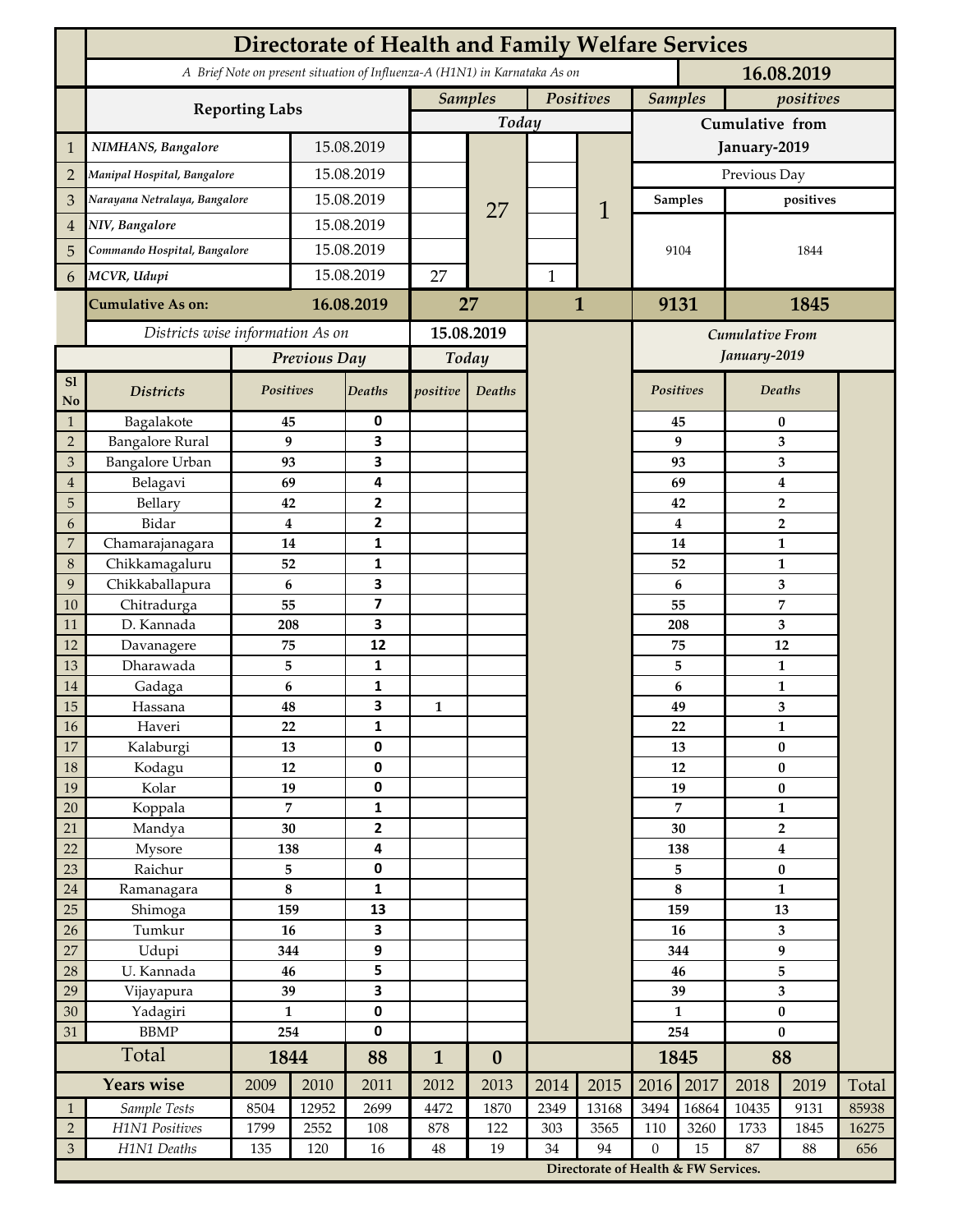|                                  | <b>Directorate of Health and Family Welfare Services</b>                                 |                      |            |                              |              |                             |              |                                      |                             |                |                                |           |       |  |
|----------------------------------|------------------------------------------------------------------------------------------|----------------------|------------|------------------------------|--------------|-----------------------------|--------------|--------------------------------------|-----------------------------|----------------|--------------------------------|-----------|-------|--|
|                                  | A Brief Note on present situation of Influenza-A (H1N1) in Karnataka As on<br>16.08.2019 |                      |            |                              |              |                             |              |                                      |                             |                |                                |           |       |  |
|                                  |                                                                                          |                      |            |                              |              | <b>Samples</b><br>Positives |              |                                      | <b>Samples</b><br>positives |                |                                |           |       |  |
|                                  | <b>Reporting Labs</b>                                                                    |                      |            |                              | Today        |                             |              |                                      | Cumulative from             |                |                                |           |       |  |
| $\mathbf 1$                      | NIMHANS, Bangalore                                                                       | 15.08.2019           |            |                              |              |                             |              | January-2019                         |                             |                |                                |           |       |  |
| $\overline{2}$                   | Manipal Hospital, Bangalore                                                              |                      |            | 15.08.2019                   |              |                             |              |                                      | Previous Day                |                |                                |           |       |  |
| 3                                | Narayana Netralaya, Bangalore                                                            |                      |            | 15.08.2019                   |              |                             |              |                                      |                             | <b>Samples</b> | positives                      |           |       |  |
| $\overline{4}$                   | NIV, Bangalore                                                                           |                      |            | 15.08.2019                   |              | 27                          |              | 1                                    |                             |                |                                |           |       |  |
| 5                                | Commando Hospital, Bangalore                                                             |                      | 15.08.2019 |                              |              |                             |              |                                      | 9104                        |                | 1844                           |           |       |  |
| 6                                | MCVR, Udupi                                                                              |                      | 15.08.2019 |                              | 27           |                             | $\mathbf{1}$ |                                      |                             |                |                                |           |       |  |
|                                  |                                                                                          |                      |            |                              |              |                             |              |                                      |                             |                |                                |           |       |  |
|                                  | <b>Cumulative As on:</b>                                                                 | 16.08.2019           |            | 27                           |              |                             | $\mathbf{1}$ |                                      | 9131<br>1845                |                |                                |           |       |  |
|                                  | Districts wise information As on                                                         |                      |            | 15.08.2019                   |              |                             |              | Cumulative From                      |                             |                |                                |           |       |  |
|                                  |                                                                                          | Previous Day         |            | Today                        |              |                             |              | January-2019                         |                             |                |                                |           |       |  |
| S1<br><b>No</b>                  | <b>Districts</b>                                                                         | Positives            |            | Deaths                       | positive     | Deaths                      |              |                                      |                             | Positives      |                                | Deaths    |       |  |
| $\mathbf{1}$                     | Bagalakote                                                                               | 45                   |            | 0                            |              |                             |              |                                      |                             | 45             | 0                              |           |       |  |
| $\overline{2}$                   | <b>Bangalore Rural</b>                                                                   | 9                    |            | $\overline{\mathbf{3}}$      |              |                             |              |                                      |                             | 9              | 3                              |           |       |  |
| $\mathfrak{Z}$<br>$\overline{4}$ | Bangalore Urban<br>Belagavi                                                              | 93<br>69             |            | 3<br>4                       |              |                             |              |                                      |                             | 93<br>69       | 3<br>$\bf{4}$                  |           |       |  |
| 5                                | Bellary                                                                                  | 42                   |            | $\overline{2}$               |              |                             |              |                                      |                             | 42             | $\overline{2}$                 |           |       |  |
| 6                                | Bidar                                                                                    | $\bf{4}$             |            | $\mathbf{2}$                 |              |                             |              |                                      | $\overline{\mathbf{4}}$     | $\overline{2}$ |                                |           |       |  |
| $\boldsymbol{7}$                 | Chamarajanagara                                                                          | 14                   |            | 1                            |              |                             |              |                                      | 14                          |                | $\mathbf{1}$                   |           |       |  |
| $\,8\,$                          | Chikkamagaluru                                                                           | 52                   |            | 1                            |              |                             |              |                                      |                             | 52             |                                | 1         |       |  |
| 9                                | Chikkaballapura                                                                          | 6                    |            | 3                            |              |                             |              |                                      |                             | 6              |                                | 3         |       |  |
| 10                               | Chitradurga                                                                              | 55                   |            | $\overline{\mathbf{z}}$      |              |                             |              |                                      |                             | 55             | 7                              |           |       |  |
| 11<br>12                         | D. Kannada<br>Davanagere                                                                 | 208<br>75            |            | 3<br>12                      |              |                             |              |                                      |                             | 208<br>75      | 3<br>12                        |           |       |  |
| 13                               | Dharawada                                                                                | 5                    |            | $\mathbf{1}$                 |              |                             |              |                                      |                             | 5              | $\mathbf{1}$                   |           |       |  |
| $14\,$                           | Gadaga                                                                                   | 6                    |            | 1                            |              |                             |              |                                      |                             | 6              | $\mathbf{1}$                   |           |       |  |
| 15                               | Hassana                                                                                  | 48                   |            | 3                            | $\mathbf{1}$ |                             |              |                                      |                             | 49             | 3                              |           |       |  |
| $16\,$                           | Haveri                                                                                   | 22                   |            | 1                            |              |                             |              |                                      |                             | 22             | $\mathbf{1}$                   |           |       |  |
| $17\,$                           | Kalaburgi                                                                                | 13                   |            | $\mathbf 0$                  |              |                             |              |                                      |                             | 13             | $\bf{0}$                       |           |       |  |
| $18\,$                           | Kodagu                                                                                   | $12\,$               |            | $\pmb{0}$                    |              |                             |              |                                      |                             | 12             |                                | $\pmb{0}$ |       |  |
| 19                               | Kolar                                                                                    | 19                   |            | $\pmb{0}$<br>$\mathbf{1}$    |              |                             |              |                                      | 19<br>$\overline{7}$        |                | $\pmb{0}$                      |           |       |  |
| $20\,$<br>21                     | Koppala<br>Mandya                                                                        | $\overline{7}$<br>30 |            | $\overline{2}$               |              |                             |              |                                      | 30                          |                | $\mathbf{1}$<br>$\overline{2}$ |           |       |  |
| 22                               | Mysore                                                                                   | 138                  |            | $\overline{\mathbf{4}}$      |              |                             |              |                                      | 138                         |                | $\boldsymbol{4}$               |           |       |  |
| 23                               | Raichur                                                                                  | 5                    |            | $\pmb{0}$                    |              |                             |              |                                      | 5                           |                | $\pmb{0}$                      |           |       |  |
| $24\,$                           | Ramanagara                                                                               | $\bf 8$              |            | $\mathbf 1$                  |              |                             |              |                                      | $\bf 8$                     |                | $\mathbf{1}$                   |           |       |  |
| 25                               | Shimoga                                                                                  | 159                  |            | 13                           |              |                             |              |                                      | 159                         |                | 13                             |           |       |  |
| 26                               | Tumkur                                                                                   | 16                   |            | 3                            |              |                             |              |                                      |                             | 16             | 3                              |           |       |  |
| $27\,$                           | Udupi                                                                                    | 344                  |            | $\boldsymbol{9}$             |              |                             |              |                                      | 344                         |                | 9                              |           |       |  |
| 28                               | U. Kannada                                                                               | 46                   |            | 5<br>$\overline{\mathbf{3}}$ |              |                             |              |                                      | 46                          |                |                                | 5         |       |  |
| 29<br>$30\,$                     | Vijayapura<br>Yadagiri                                                                   | 39<br>$\mathbf{1}$   |            | $\pmb{0}$                    |              |                             |              |                                      | 39<br>$\mathbf{1}$          |                | 3<br>$\pmb{0}$                 |           |       |  |
| 31                               | <b>BBMP</b>                                                                              | 254                  |            | $\pmb{0}$                    |              |                             |              |                                      | 254                         |                | $\bf{0}$                       |           |       |  |
|                                  | Total                                                                                    |                      | 1844       |                              | $\mathbf{1}$ | $\boldsymbol{0}$            |              |                                      | 1845                        |                | 88                             |           |       |  |
|                                  | <b>Years wise</b>                                                                        | 2009                 | 2010       | 88<br>2011                   | 2012         | 2013                        | 2014         | 2015                                 | 2016                        | 2017           | 2018                           | 2019      | Total |  |
| $\mathbf{1}$                     | Sample Tests                                                                             | 8504                 | 12952      | 2699                         | 4472         | 1870                        | 2349         | 13168                                | 3494                        | 16864          | 10435                          | 9131      | 85938 |  |
| $\sqrt{2}$                       | H1N1 Positives                                                                           | 1799                 | 2552       | 108                          | 878          | 122                         | 303          | 3565                                 | 110                         | 3260           | 1733                           | 1845      | 16275 |  |
| $\mathfrak{Z}$                   | H1N1 Deaths                                                                              | 135                  | 120        | 16                           | 48           | 19                          | 34           | 94                                   | $\boldsymbol{0}$            | 15             | 87                             | 88        | 656   |  |
|                                  |                                                                                          |                      |            |                              |              |                             |              | Directorate of Health & FW Services. |                             |                |                                |           |       |  |